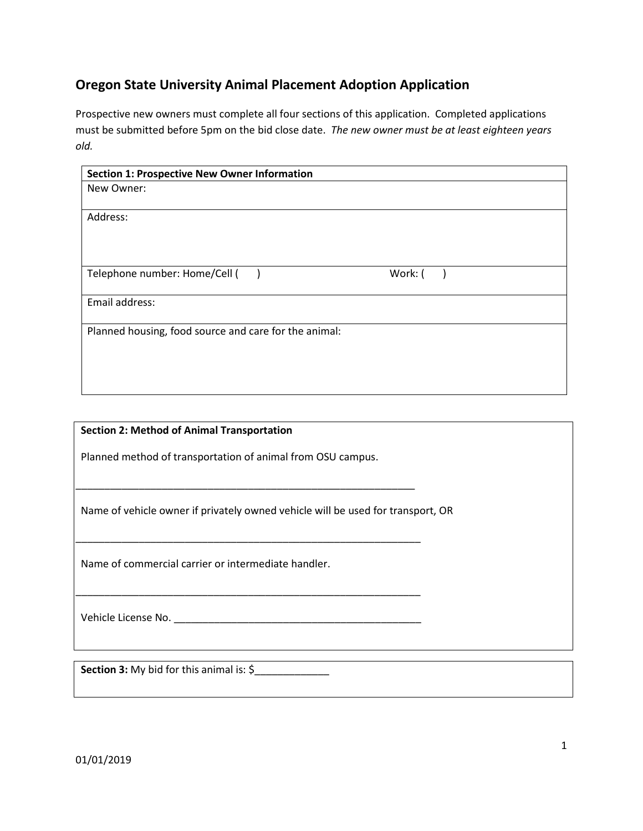## **Oregon State University Animal Placement Adoption Application**

Prospective new owners must complete all four sections of this application. Completed applications must be submitted before 5pm on the bid close date. *The new owner must be at least eighteen years old.*

| <b>Section 1: Prospective New Owner Information</b>   |         |  |
|-------------------------------------------------------|---------|--|
| New Owner:                                            |         |  |
|                                                       |         |  |
| Address:                                              |         |  |
|                                                       |         |  |
|                                                       |         |  |
|                                                       |         |  |
| Telephone number: Home/Cell (                         | Work: ( |  |
|                                                       |         |  |
| Email address:                                        |         |  |
|                                                       |         |  |
| Planned housing, food source and care for the animal: |         |  |
|                                                       |         |  |
|                                                       |         |  |
|                                                       |         |  |
|                                                       |         |  |

 **Section 2: Method of Animal Transportation** 

Planned method of transportation of animal from OSU campus.

\_\_\_\_\_\_\_\_\_\_\_\_\_\_\_\_\_\_\_\_\_\_\_\_\_\_\_\_\_\_\_\_\_\_\_\_\_\_\_\_\_\_\_\_\_\_\_\_\_\_\_\_\_\_\_\_\_\_\_

\_\_\_\_\_\_\_\_\_\_\_\_\_\_\_\_\_\_\_\_\_\_\_\_\_\_\_\_\_\_\_\_\_\_\_\_\_\_\_\_\_\_\_\_\_\_\_\_\_\_\_\_\_\_\_\_\_\_\_\_

\_\_\_\_\_\_\_\_\_\_\_\_\_\_\_\_\_\_\_\_\_\_\_\_\_\_\_\_\_\_\_\_\_\_\_\_\_\_\_\_\_\_\_\_\_\_\_\_\_\_\_\_\_\_\_\_\_\_\_\_

Name of vehicle owner if privately owned vehicle will be used for transport, OR

Name of commercial carrier or intermediate handler.

Vehicle License No. \_\_\_\_\_\_\_\_\_\_\_\_\_\_\_\_\_\_\_\_\_\_\_\_\_\_\_\_\_\_\_\_\_\_\_\_\_\_\_\_\_\_\_

 **Section 3:** My bid for this animal is: \$\_\_\_\_\_\_\_\_\_\_\_\_\_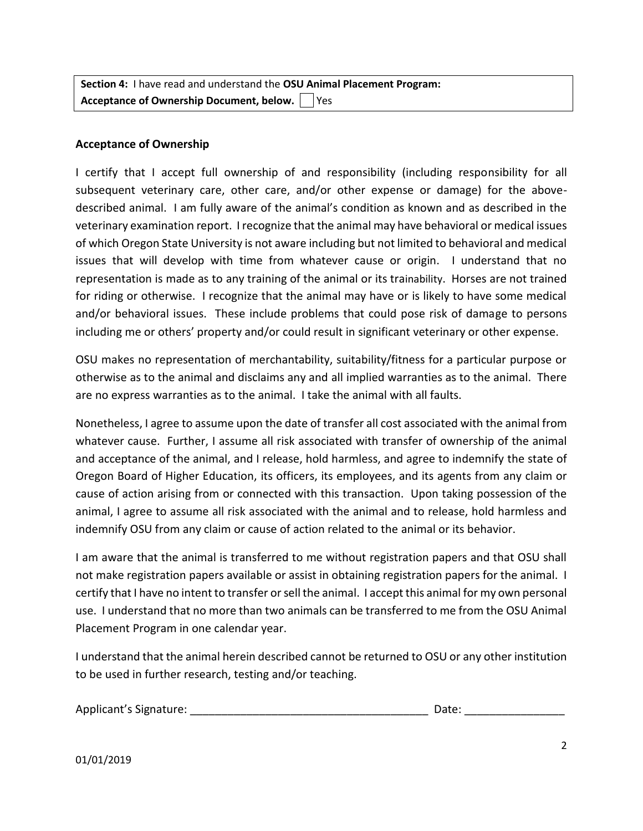**Section 4:** I have read and understand the **OSU Animal Placement Program: Acceptance of Ownership Document, below.** | Yes

## **Acceptance of Ownership**

I certify that I accept full ownership of and responsibility (including responsibility for all subsequent veterinary care, other care, and/or other expense or damage) for the abovedescribed animal. I am fully aware of the animal's condition as known and as described in the veterinary examination report. I recognize that the animal may have behavioral or medical issues of which Oregon State University is not aware including but not limited to behavioral and medical issues that will develop with time from whatever cause or origin. I understand that no representation is made as to any training of the animal or its trainability. Horses are not trained for riding or otherwise. I recognize that the animal may have or is likely to have some medical and/or behavioral issues. These include problems that could pose risk of damage to persons including me or others' property and/or could result in significant veterinary or other expense.

OSU makes no representation of merchantability, suitability/fitness for a particular purpose or otherwise as to the animal and disclaims any and all implied warranties as to the animal. There are no express warranties as to the animal. I take the animal with all faults.

Nonetheless, I agree to assume upon the date of transfer all cost associated with the animal from whatever cause. Further, I assume all risk associated with transfer of ownership of the animal and acceptance of the animal, and I release, hold harmless, and agree to indemnify the state of Oregon Board of Higher Education, its officers, its employees, and its agents from any claim or cause of action arising from or connected with this transaction. Upon taking possession of the animal, I agree to assume all risk associated with the animal and to release, hold harmless and indemnify OSU from any claim or cause of action related to the animal or its behavior.

I am aware that the animal is transferred to me without registration papers and that OSU shall not make registration papers available or assist in obtaining registration papers for the animal. I certify that I have no intent to transfer or sell the animal. I accept this animal for my own personal use. I understand that no more than two animals can be transferred to me from the OSU Animal Placement Program in one calendar year.

I understand that the animal herein described cannot be returned to OSU or any other institution to be used in further research, testing and/or teaching.

| Applicant's Signature: |  | Date: |
|------------------------|--|-------|
|------------------------|--|-------|